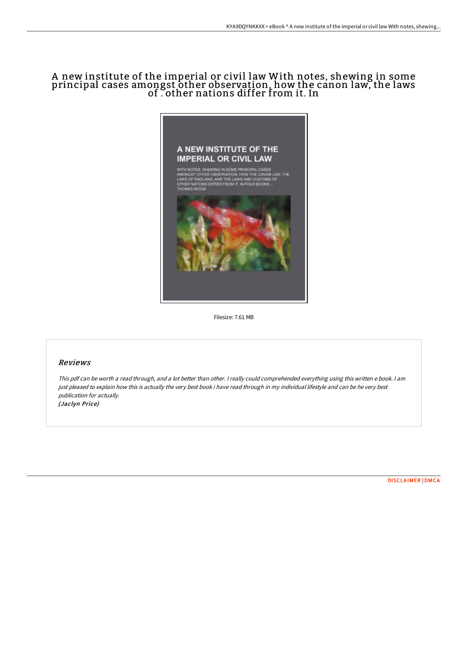# A new institute of the imperial or civil law With notes, shewing in some principal cases amongst other observation, how the canon law, the laws of . other nations differ from it. In



Filesize: 7.61 MB

## Reviews

This pdf can be worth <sup>a</sup> read through, and <sup>a</sup> lot better than other. <sup>I</sup> really could comprehended everything using this written <sup>e</sup> book. <sup>I</sup> am just pleased to explain how this is actually the very best book i have read through in my individual lifestyle and can be he very best publication for actually. (Jaclyn Price)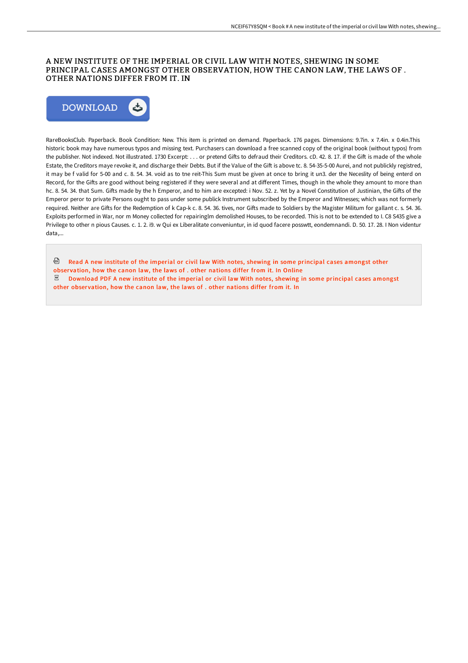### A NEW INSTITUTE OF THE IMPERIAL OR CIVIL LAW WITH NOTES, SHEWING IN SOME PRINCIPAL CASES AMONGST OTHER OBSERVATION, HOW THE CANON LAW, THE LAWS OF . OTHER NATIONS DIFFER FROM IT. IN



RareBooksClub. Paperback. Book Condition: New. This item is printed on demand. Paperback. 176 pages. Dimensions: 9.7in. x 7.4in. x 0.4in.This historic book may have numerous typos and missing text. Purchasers can download a free scanned copy of the original book (without typos) from the publisher. Not indexed. Not illustrated. 1730 Excerpt: . . . or pretend Gifts to defraud their Creditors. cD. 42. 8. 17. if the Gift is made of the whole Estate, the Creditors maye revoke it, and discharge their Debts. But if the Value of the Gift is above tc. 8. 54-35-5-00 Aurei, and not publickly registred, it may be f valid for 5-00 and c. 8. 54. 34. void as to tne reit-This Sum must be given at once to bring it un3. der the Neceslity of being enterd on Record, for the Gifts are good without being registered if they were several and at different Times, though in the whole they amount to more than hc. 8. 54. 34. that Sum. Gifts made by the h Emperor, and to him are excepted: i Nov. 52. z. Yet by a Novel Constitution of Justinian, the Gifts of the Emperor peror to private Persons ought to pass under some publick Instrument subscribed by the Emperor and Witnesses; which was not formerly required. Neither are Gifts for the Redemption of k Cap-k c. 8. 54. 36. tives, nor Gifts made to Soldiers by the Magister Militum for gallant c. s. 54. 36. Exploits performed in War, nor m Money collected for repairinglm demolished Houses, to be recorded. This is not to be extended to I. C8 S435 give a Privilege to other n pious Causes. c. 1. 2. i9. w Qui ex Liberalitate conveniuntur, in id quod facere posswtt, eondemnandi. D. 50. 17. 28. I Non videntur data,...

<sup>回</sup> Read A new institute of the imperial or civil law With notes, shewing in some [principal](http://bookera.tech/a-new-institute-of-the-imperial-or-civil-law-wit.html) cases amongst other observation, how the canon law, the laws of . other nations differ from it. In Online  $_{\rm per}$ [Download](http://bookera.tech/a-new-institute-of-the-imperial-or-civil-law-wit.html) PDF A new institute of the imperial or civil law With notes, shewing in some principal cases amongst other observation, how the canon law, the laws of . other nations differ from it. In